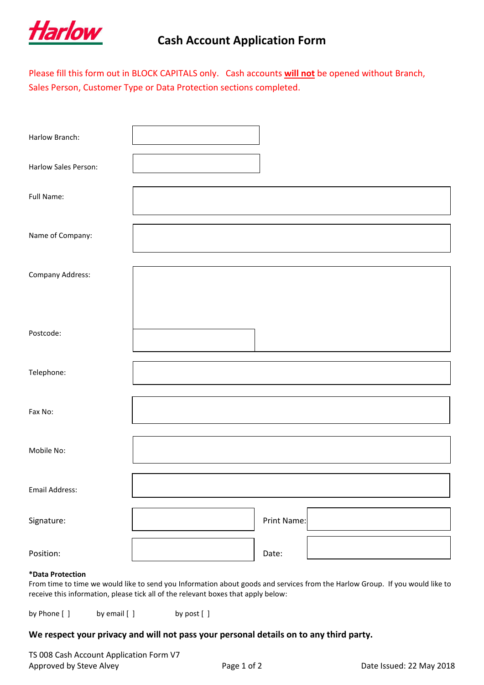

## **Cash Account Application Form**

Please fill this form out in BLOCK CAPITALS only. Cash accounts **will not** be opened without Branch, Sales Person, Customer Type or Data Protection sections completed.

| Harlow Branch:       |             |
|----------------------|-------------|
| Harlow Sales Person: |             |
| Full Name:           |             |
| Name of Company:     |             |
| Company Address:     |             |
| Postcode:            |             |
| Telephone:           |             |
| Fax No:              |             |
| Mobile No:           |             |
| Email Address:       |             |
| Signature:           | Print Name: |
| Position:            | Date:       |

## **\*Data Protection**

From time to time we would like to send you Information about goods and services from the Harlow Group. If you would like to receive this information, please tick all of the relevant boxes that apply below:

by Phone [ ] by email [ ] by post [ ]

## **We respect your privacy and will not pass your personal details on to any third party.**